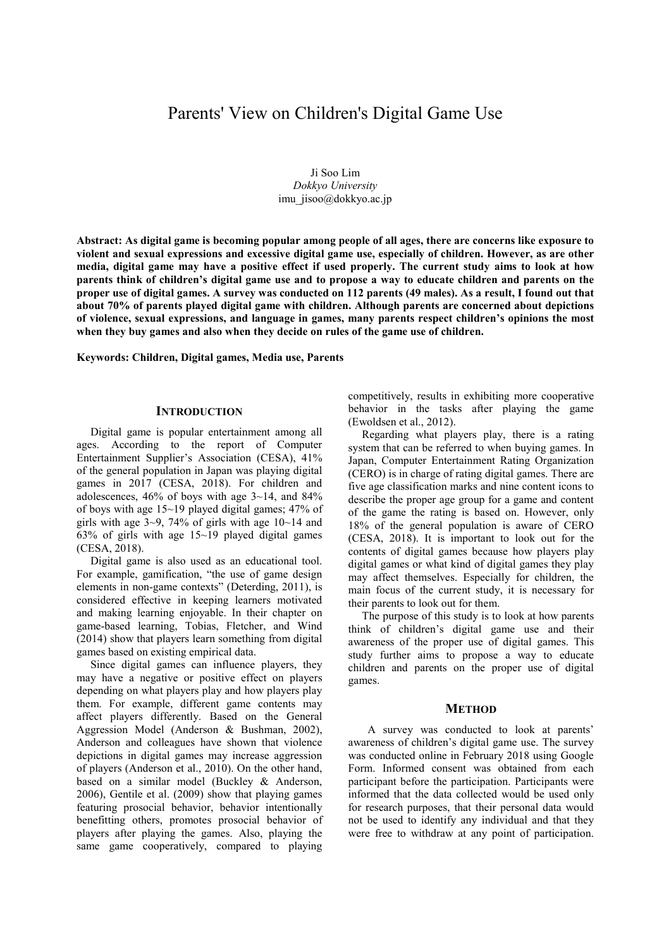# Parents' View on Children's Digital Game Use

Ji Soo Lim *Dokkyo University* imu\_jisoo@dokkyo.ac.jp

**Abstract: As digital game is becoming popular among people of all ages, there are concerns like exposure to violent and sexual expressions and excessive digital game use, especially of children. However, as are other media, digital game may have a positive effect if used properly. The current study aims to look at how parents think of children's digital game use and to propose a way to educate children and parents on the proper use of digital games. A survey was conducted on 112 parents (49 males). As a result, I found out that about 70% of parents played digital game with children. Although parents are concerned about depictions of violence, sexual expressions, and language in games, many parents respect children's opinions the most when they buy games and also when they decide on rules of the game use of children.** 

**Keywords: Children, Digital games, Media use, Parents**

#### **INTRODUCTION**

Digital game is popular entertainment among all ages. According to the report of Computer Entertainment Supplier's Association (CESA), 41% of the general population in Japan was playing digital games in 2017 (CESA, 2018). For children and adolescences,  $46\%$  of boys with age  $3\nu$ -14, and  $84\%$ of boys with age 15~19 played digital games; 47% of girls with age  $3-9$ , 74% of girls with age 10~14 and 63% of girls with age 15~19 played digital games (CESA, 2018).

Digital game is also used as an educational tool. For example, gamification, "the use of game design elements in non-game contexts" (Deterding, 2011), is considered effective in keeping learners motivated and making learning enjoyable. In their chapter on game-based learning, Tobias, Fletcher, and Wind (2014) show that players learn something from digital games based on existing empirical data.

Since digital games can influence players, they may have a negative or positive effect on players depending on what players play and how players play them. For example, different game contents may affect players differently. Based on the General Aggression Model (Anderson & Bushman, 2002), Anderson and colleagues have shown that violence depictions in digital games may increase aggression of players (Anderson et al., 2010). On the other hand, based on a similar model (Buckley & Anderson, 2006), Gentile et al. (2009) show that playing games featuring prosocial behavior, behavior intentionally benefitting others, promotes prosocial behavior of players after playing the games. Also, playing the same game cooperatively, compared to playing

competitively, results in exhibiting more cooperative behavior in the tasks after playing the game (Ewoldsen et al., 2012).

Regarding what players play, there is a rating system that can be referred to when buying games. In Japan, Computer Entertainment Rating Organization (CERO) is in charge of rating digital games. There are five age classification marks and nine content icons to describe the proper age group for a game and content of the game the rating is based on. However, only 18% of the general population is aware of CERO (CESA, 2018). It is important to look out for the contents of digital games because how players play digital games or what kind of digital games they play may affect themselves. Especially for children, the main focus of the current study, it is necessary for their parents to look out for them.

The purpose of this study is to look at how parents think of children's digital game use and their awareness of the proper use of digital games. This study further aims to propose a way to educate children and parents on the proper use of digital games.

## **METHOD**

 A survey was conducted to look at parents' awareness of children's digital game use. The survey was conducted online in February 2018 using Google Form. Informed consent was obtained from each participant before the participation. Participants were informed that the data collected would be used only for research purposes, that their personal data would not be used to identify any individual and that they were free to withdraw at any point of participation.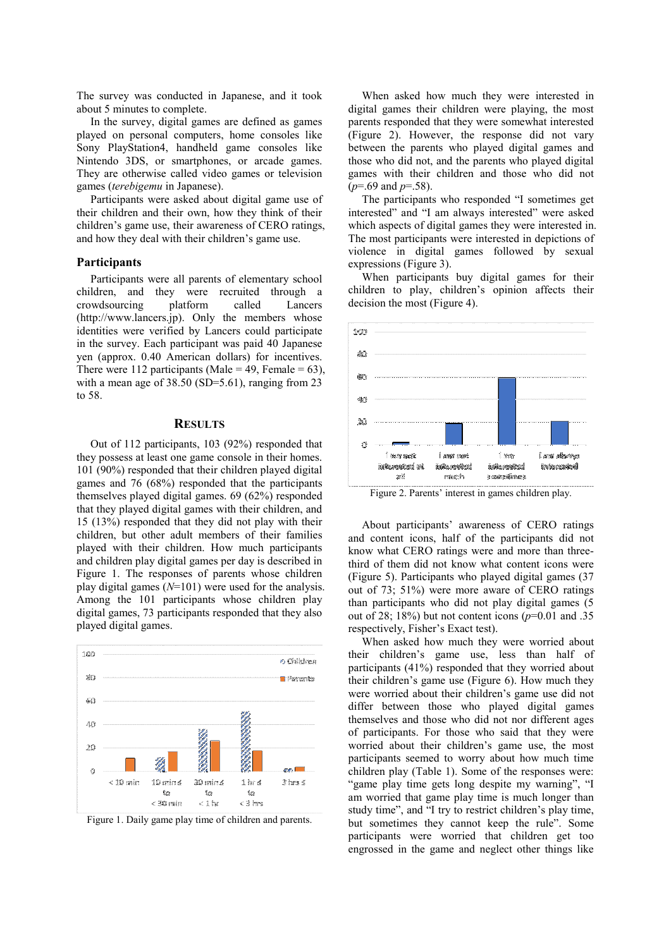The survey was conducted in Japanese, and it took about 5 minutes to complete.

In the survey, digital games are defined as games played on personal computers, home consoles like Sony PlayStation4, handheld game consoles like Nintendo 3DS, or smartphones, or arcade games. They are otherwise called video games or television games (*terebigemu* in Japanese).

Participants were asked about digital game use of their children and their own, how they think of their children's game use, their awareness of CERO ratings, and how they deal with their children's game use.

#### **Participants**

Participants were all parents of elementary school children, and they were recruited through a crowdsourcing platform called Lancers (http://www.lancers.jp). Only the members whose identities were verified by Lancers could participate in the survey. Each participant was paid 40 Japanese yen (approx. 0.40 American dollars) for incentives. There were 112 participants (Male = 49, Female =  $63$ ), with a mean age of 38.50 (SD=5.61), ranging from 23 to 58.

### **RESULTS**

Out of 112 participants, 103 (92%) responded that they possess at least one game console in their homes. 101 (90%) responded that their children played digital games and 76 (68%) responded that the participants themselves played digital games. 69 (62%) responded that they played digital games with their children, and 15 (13%) responded that they did not play with their children, but other adult members of their families played with their children. How much participants and children play digital games per day is described in Figure 1. The responses of parents whose children play digital games (*N*=101) were used for the analysis. Among the 101 participants whose children play digital games, 73 participants responded that they also played digital games.



Figure 1. Daily game play time of children and parents.

When asked how much they were interested in digital games their children were playing, the most parents responded that they were somewhat interested (Figure 2). However, the response did not vary between the parents who played digital games and those who did not, and the parents who played digital games with their children and those who did not (*p*=.69 and *p*=.58).

The participants who responded "I sometimes get interested" and "I am always interested" were asked which aspects of digital games they were interested in. The most participants were interested in depictions of violence in digital games followed by sexual expressions (Figure 3).

When participants buy digital games for their children to play, children's opinion affects their decision the most (Figure 4).



Figure 2. Parents' interest in games children play.

About participants' awareness of CERO ratings and content icons, half of the participants did not know what CERO ratings were and more than threethird of them did not know what content icons were (Figure 5). Participants who played digital games (37 out of 73; 51%) were more aware of CERO ratings than participants who did not play digital games (5 out of 28; 18%) but not content icons  $(p=0.01$  and .35 respectively, Fisher's Exact test).

When asked how much they were worried about their children's game use, less than half of participants (41%) responded that they worried about their children's game use (Figure 6). How much they were worried about their children's game use did not differ between those who played digital games themselves and those who did not nor different ages of participants. For those who said that they were worried about their children's game use, the most participants seemed to worry about how much time children play (Table 1). Some of the responses were: "game play time gets long despite my warning", "I am worried that game play time is much longer than study time", and "I try to restrict children's play time, but sometimes they cannot keep the rule". Some participants were worried that children get too engrossed in the game and neglect other things like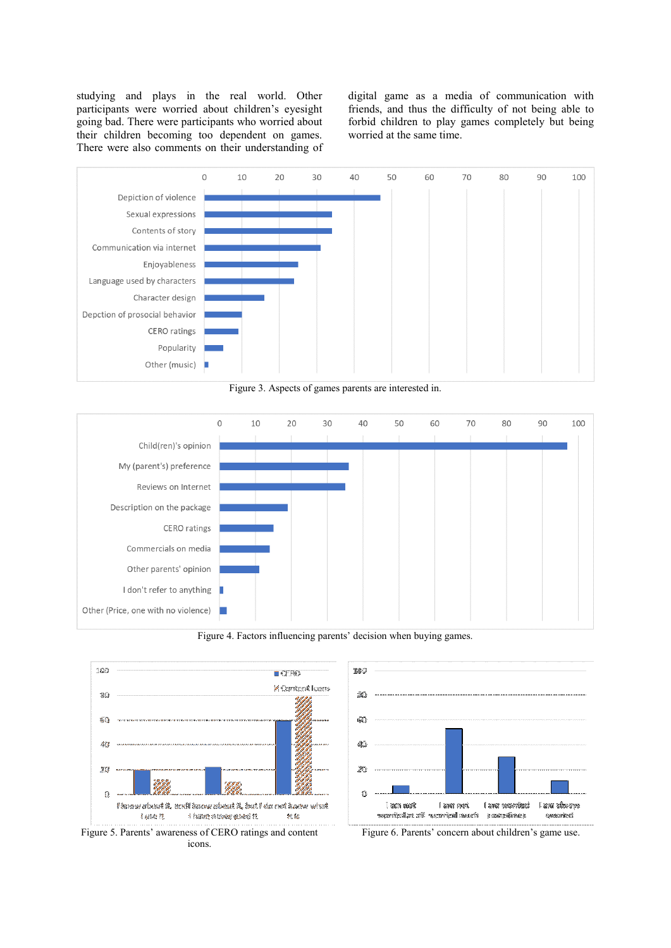studying and plays in the real world. Other participants were worried about children's eyesight going bad. There were participants who worried about their children becoming too dependent on games. There were also comments on their understanding of digital game as a media of communication with friends, and thus the difficulty of not being able to forbid children to play games completely but being worried at the same time.



Figure 3. Aspects of games parents are interested in.



Figure 4. Factors influencing parents' decision when buying games.

10C



 $\bar{2}0$  $\Omega$ đú  $351$ ň .<br>Isan awak I awar rootk I are recorded l an shoryo chance been war it's subsection ະລະດະທິກາດະ systemiesi



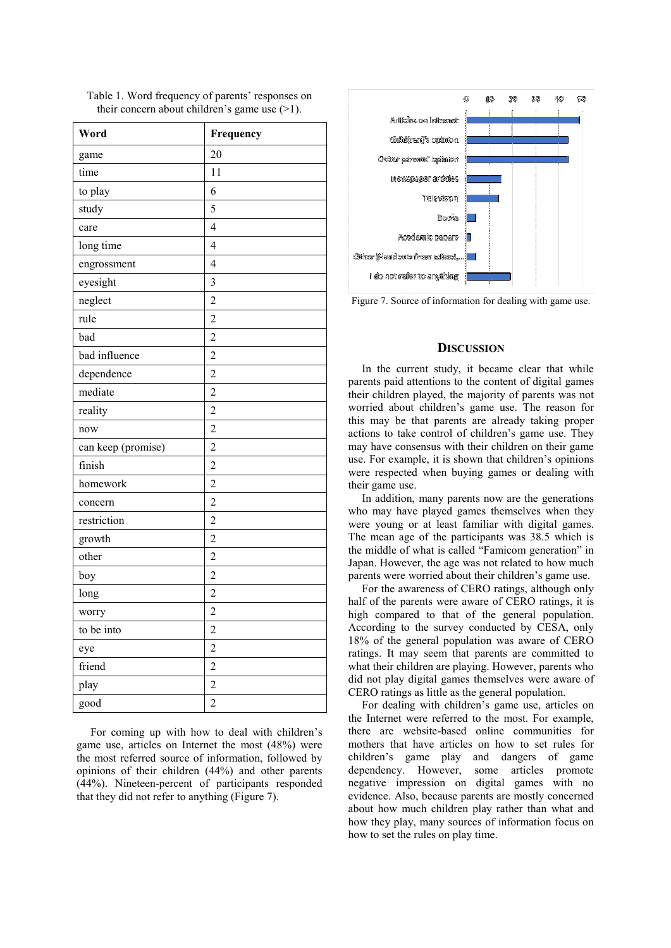| Word               | Frequency               |
|--------------------|-------------------------|
| game               | 20                      |
| time               | 11                      |
| to play            | 6                       |
| study              | 5                       |
| care               | $\overline{4}$          |
| long time          | $\overline{4}$          |
| engrossment        | $\overline{4}$          |
| eyesight           | 3                       |
| neglect            | $\overline{c}$          |
| rule               | $\overline{c}$          |
| bad                | $\overline{c}$          |
| bad influence      | $\overline{c}$          |
| dependence         | $\overline{c}$          |
| mediate            | $\overline{c}$          |
| reality            | $\overline{2}$          |
| now                | $\overline{c}$          |
| can keep (promise) | $\overline{c}$          |
| finish             | $\overline{2}$          |
| homework           | $\overline{c}$          |
| concern            | $\overline{c}$          |
| restriction        | $\overline{2}$          |
| growth             | $\overline{c}$          |
| other              | $\overline{c}$          |
| boy                | $\overline{c}$          |
| long               | $\overline{c}$          |
| worry              | $\overline{c}$          |
| to be into         | $\overline{\mathbf{c}}$ |
| eye                | $\overline{c}$          |
| friend             | $\overline{\mathbf{c}}$ |
| play               | $\overline{c}$          |
| good               | $\overline{c}$          |

Table 1. Word frequency of parents' responses on their concern about children's game use  $(>1)$ .

For coming up with how to deal with children's game use, articles on Internet the most (48%) were the most referred source of information, followed by opinions of their children (44%) and other parents (44%). Nineteen-percent of participants responded that they did not refer to anything (Figure 7).



Figure 7. Source of information for dealing with game use.

#### **DISCUSSION**

In the current study, it became clear that while parents paid attentions to the content of digital games their children played, the majority of parents was not worried about children's game use. The reason for this may be that parents are already taking proper actions to take control of children's game use. They may have consensus with their children on their game use. For example, it is shown that children's opinions were respected when buying games or dealing with their game use.

In addition, many parents now are the generations who may have played games themselves when they were young or at least familiar with digital games. The mean age of the participants was 38.5 which is the middle of what is called "Famicom generation" in Japan. However, the age was not related to how much parents were worried about their children's game use.

For the awareness of CERO ratings, although only half of the parents were aware of CERO ratings, it is high compared to that of the general population. According to the survey conducted by CESA, only 18% of the general population was aware of CERO ratings. It may seem that parents are committed to what their children are playing. However, parents who did not play digital games themselves were aware of CERO ratings as little as the general population.

For dealing with children's game use, articles on the Internet were referred to the most. For example, there are website-based online communities for mothers that have articles on how to set rules for children's game play and dangers of game dependency. However, some articles promote negative impression on digital games with no evidence. Also, because parents are mostly concerned about how much children play rather than what and how they play, many sources of information focus on how to set the rules on play time.